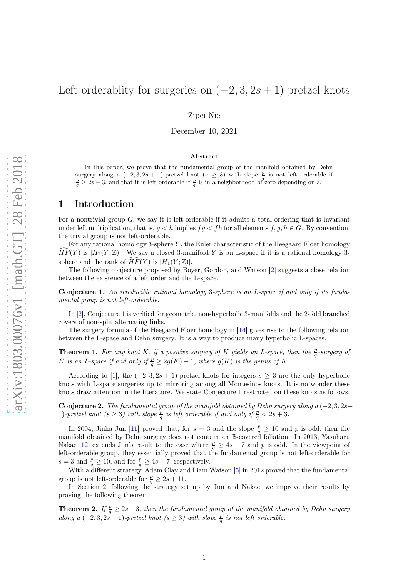# Left-orderablity for surgeries on  $(-2, 3, 2s + 1)$ -pretzel knots

Zipei Nie

December 10, 2021

#### Abstract

In this paper, we prove that the fundamental group of the manifold obtained by Dehn surgery along a  $(-2, 3, 2s + 1)$ -pretzel knot  $(s \ge 3)$  with slope  $\frac{p}{q}$  is not left orderable if  $\frac{p}{q} \ge 2s + 3$ , and that it is left orderable if  $\frac{p}{q}$  is in a neighborhood of zero depending on s.

## 1 Introduction

For a nontrivial group  $G$ , we say it is left-orderable if it admits a total ordering that is invariant under left multiplication, that is,  $g < h$  implies  $fg < fh$  for all elements  $f, g, h \in G$ . By convention, the trivial group is not left-orderable.

For any rational homology 3-sphere  $Y$ , the Euler characteristic of the Heegaard Floer homology  $\widehat{HF}(Y)$  is  $|H_1(Y;\mathbb{Z})|$ . We say a closed 3-manifold Y is an L-space if it is a rational homology 3sphere and the rank of  $\widehat{HF}(Y)$  is  $|H_1(Y;\mathbb{Z})|$ .

The following conjecture proposed by Boyer, Gordon, and Watson [\[2\]](#page-3-0) suggests a close relation between the existence of a left order and the L-space.

<span id="page-0-0"></span>Conjecture 1. An irreducible rational homology 3-sphere is an L-space if and only if its fundamental group is not left-orderable.

In [\[2\]](#page-3-0), Conjecture [1](#page-0-0) is verified for geometric, non-hyperbolic 3-manifolds and the 2-fold branched covers of non-split alternating links.

The surgery formula of the Heegaard Floer homology in [\[14\]](#page-4-0) gives rise to the following relation between the L-space and Dehn surgery. It is a way to produce many hyperbolic L-spaces.

**Theorem 1.** For any knot K, if a positive surgery of K yields an L-space, then the  $\frac{p}{q}$ -surgery of K is an L-space if and only if  $\frac{p}{q} \geq 2g(K) - 1$ , where  $g(K)$  is the genus of K.

According to [\[1\]](#page-3-1), the  $(-2, 3, 2s + 1)$ -pretzel knots for integers  $s > 3$  are the only hyperbolic knots with L-space surgeries up to mirroring among all Montesinos knots. It is no wonder these knots draw attention in the literature. We state Conjecture [1](#page-0-0) restricted on these knots as follows.

Conjecture 2. The fundamental group of the manifold obtained by Dehn surgery along a  $(-2, 3, 2s+)$ 1)-pretzel knot  $(s \geq 3)$  with slope  $\frac{p}{q}$  is left orderable if and only if  $\frac{p}{q} < 2s + 3$ .

In 2004, Jinha Jun [\[11\]](#page-4-1) proved that, for  $s=3$  and the slope  $\frac{p}{q} \ge 10$  and p is odd, then the manifold obtained by Dehn surgery does not contain an R-covered foliation. In 2013, Yasuharu Nakae [\[12\]](#page-4-2) extends Jun's result to the case where  $\frac{p}{q} \geq 4s + 7$  and p is odd. In the viewpoint of left-orderable group, they essentially proved that the fundamental group is not left-orderable for  $s = 3$  and  $\frac{p}{q} \ge 10$ , and for  $\frac{p}{q} \ge 4s + 7$ , respectively.

With a different strategy, Adam Clay and Liam Watson [\[5\]](#page-4-3) in 2012 proved that the fundamental group is not left-orderable for  $\frac{p}{q} \ge 2s + 11$ .

In Section [2,](#page-1-0) following the strategy set up by Jun and Nakae, we improve their results by proving the following theorem.

<span id="page-0-1"></span>**Theorem 2.** If  $\frac{p}{q} \geq 2s + 3$ , then the fundamental group of the manifold obtained by Dehn surgery along a  $(-2, 3, 2s + 1)$ -pretzel knot  $(s \ge 3)$  with slope  $\frac{p}{q}$  is not left orderable.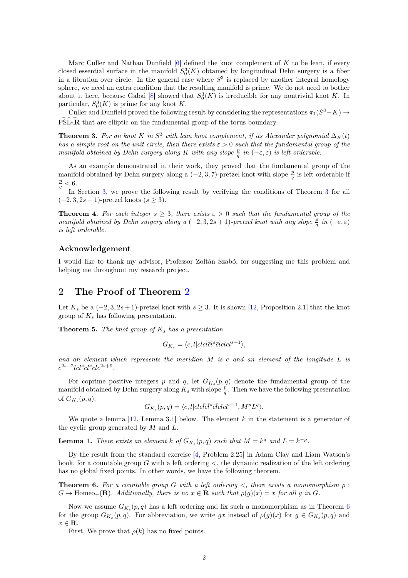Marc Culler and Nathan Dunfield  $[6]$  defined the knot complement of K to be lean, if every closed essential surface in the manifold  $S_0^3(K)$  obtained by longitudinal Dehn surgery is a fiber in a fibration over circle. In the general case where  $S<sup>3</sup>$  is replaced by another integral homology sphere, we need an extra condition that the resulting manifold is prime. We do not need to bother about it here, because Gabai [\[8\]](#page-4-5) showed that  $S_0^3(K)$  is irreducible for any nontrivial knot K. In particular,  $S_0^3(K)$  is prime for any knot K.

Culler and Dunfield proved the following result by considering the representations  $\pi_1(S^3 - K) \to$  $PSL<sub>2</sub>R$  that are elliptic on the fundamental group of the torus boundary.

<span id="page-1-1"></span>**Theorem 3.** For an knot K in  $S^3$  with lean knot complement, if its Alexander polynomial  $\Delta_K(t)$ has a simple root on the unit circle, then there exists  $\varepsilon > 0$  such that the fundamental group of the manifold obtained by Dehn surgery along K with any slope  $\frac{p}{q}$  in  $(-\varepsilon,\varepsilon)$  is left orderable.

As an example demonstrated in their work, they proved that the fundamental group of the manifold obtained by Dehn surgery along a  $(-2, 3, 7)$ -pretzel knot with slope  $\frac{p}{q}$  is left orderable if p  $< 6.$ 

In Section [3,](#page-2-0) we prove the following result by verifying the conditions of Theorem [3](#page-1-1) for all  $(-2, 3, 2s + 1)$ -pretzel knots  $(s \geq 3)$ .

<span id="page-1-3"></span>**Theorem 4.** For each integer  $s \geq 3$ , there exists  $\varepsilon > 0$  such that the fundamental group of the manifold obtained by Dehn surgery along a  $(-2,3,2s+1)$ -pretzel knot with any slope  $\frac{p}{q}$  in  $(-\varepsilon,\varepsilon)$ is left orderable.

#### Acknowledgement

I would like to thank my advisor, Professor Zoltán Szabó, for suggesting me this problem and helping me throughout my research project.

### <span id="page-1-0"></span>2 The Proof of Theorem [2](#page-0-1)

Let  $K_s$  be a  $(-2, 3, 2s + 1)$ -pretzel knot with  $s \geq 3$ . It is shown [\[12,](#page-4-2) Proposition 2.1] that the knot group of  $K_s$  has following presentation.

**Theorem 5.** The knot group of  $K_s$  has a presentation

$$
G_{K_s} = \langle c, l | cl c \bar{l} \bar{c} \bar{l}^s \bar{c} \bar{l} cl c l^{s-1} \rangle,
$$

and an element which represents the meridian  $M$  is c and an element of the longitude  $L$  is  $\bar{c}^{2s-2}lcl^{s}cl^{s}cl\bar{c}^{2s+9}.$ 

For coprime positive integers p and q, let  $G_{K_s}(p,q)$  denote the fundamental group of the manifold obtained by Dehn surgery along  $K_s$  with slope  $\frac{p}{q}$ . Then we have the following presentation of  $G_{K_s}(p,q)$ :

$$
G_{K_s}(p,q) = \langle c, l | cl c \bar{l} \bar{c} \bar{l}^s \bar{c} \bar{l} cl c l^{s-1}, M^p L^q \rangle.
$$

We quote a lemma  $[12, \text{Lemma } 3.1]$  below. The element k in the statement is a generator of the cyclic group generated by  $M$  and  $L$ .

**Lemma 1.** There exists an element k of  $G_{K_s}(p,q)$  such that  $M = k^q$  and  $L = k^{-p}$ .

By the result from the standard exercise [\[4,](#page-4-6) Problem 2.25] in Adam Clay and Liam Watson's book, for a countable group G with a left ordering  $\lt$ , the dynamic realization of the left ordering has no global fixed points. In other words, we have the following theorem.

<span id="page-1-2"></span>**Theorem 6.** For a countable group G with a left ordering  $\lt$ , there exists a monomorphism  $\rho$ :  $G \to \text{Homeo}_+(\mathbf{R})$ . Additionally, there is no  $x \in \mathbf{R}$  such that  $\rho(q)(x) = x$  for all q in G.

Now we assume  $G_{K_s}(p,q)$  has a left ordering and fix such a monomorphism as in Theorem [6](#page-1-2) for the group  $G_{K_s}(p,q)$ . For abbreviation, we write gx instead of  $\rho(g)(x)$  for  $g \in G_{K_s}(p,q)$  and  $x \in \mathbf{R}$ .

First, We prove that  $\rho(k)$  has no fixed points.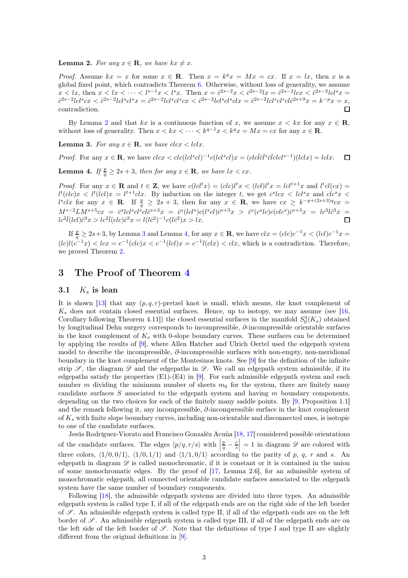<span id="page-2-1"></span>**Lemma 2.** For any  $x \in \mathbf{R}$ , we have  $kx \neq x$ .

*Proof.* Assume  $kx = x$  for some  $x \in \mathbb{R}$ . Then  $x = k^q x = Mx = cx$ . If  $x = lx$ , then x is a global fixed point, which contradicts Theorem [6.](#page-1-2) Otherwise, without loss of generality, we assume  $x < lx$ , then  $x < lx < \cdots < l^{s-1}x < l^s x$ . Then  $x = \bar{c}^{2s-2}x < \bar{c}^{2s-2}lx = \bar{c}^{2s-2}lcx < \bar{c}^{2s-2}lc^s x =$  $\bar{c}^{2s-2}lcl^scx < \bar{c}^{2s-2}lcl^scl^sx = \bar{c}^{2s-2}lcl^scl^scx < \bar{c}^{2s-2}lcl^scl^sclx = \bar{c}^{2s-2}lcl^scl^scl\bar{c}^{2s+9}x = k^{-p}x = x,$ contradiction.  $\Box$ 

By Lemma [2](#page-2-1) and that kx is a continuous function of x, we assume  $x < kx$  for any  $x \in \mathbb{R}$ , without loss of generality. Then  $x < kx < \cdots < k^{q-1}x < k^qx = Mx = cx$  for any  $x \in \mathbb{R}$ .

<span id="page-2-2"></span>**Lemma 3.** For any  $x \in \mathbf{R}$ , we have  $clcx < lclx$ .

*Proof.* For any  $x \in \mathbf{R}$ , we have  $clcx < clc(lcl^scl)^{-1}c(lcl^scl)x = (clc\overline{l}\overline{c}\overline{l}\overline{c}\overline{l}clcl^{s-1})(lclx) = lclx$ .  $\Box$ 

<span id="page-2-3"></span>**Lemma 4.** If  $\frac{p}{q} \ge 2s + 3$ , then for any  $x \in \mathbb{R}$ , we have  $lx < cx$ .

*Proof.* For any  $x \in \mathbf{R}$  and  $t \in \mathbf{Z}$ , we have  $c(lcl^tx) = (clc)l^tx < (lcl)l^tx = lcl^{t+1}x$  and  $l^tcl(cx) =$  $l^t(clc)x < l^t(lcl)x = l^{t+1}clx$ . By induction on the integer t, we get  $c^slcx < lcl^sx$  and  $clc^sx < l$  $l^sclx$  for any  $x \in \mathbf{R}$ . If  $\frac{p}{q} \geq 2s + 3$ , then for any  $x \in \mathbf{R}$ , we have  $cx \geq k^{-p+(2s+3)q}cx =$  $M^{s-2}LM^{s+5}cx = \bar{c}^{s}lcl^{s}cl\bar{c}^{s+3}x = \bar{c}^{s}(lcl^{s})c(l^{s}cl)\bar{c}^{s+3}x > \bar{c}^{s}(c^{s}lc)c(l^{c}c^{s})\bar{c}^{s+3}x = lc^{3}l\bar{c}^{3}x =$  $lc^{2}\bar{l}(lcl)\bar{c}^{3}x > lc^{2}\bar{l}(clc)\bar{c}^{3}x = l(l\bar{c}^{2})^{-1}c(l\bar{c}^{2})x > ix.$  $\Box$ 

If  $\frac{p}{q} \ge 2s+3$  $\frac{p}{q} \ge 2s+3$ , by Lemma 3 and Lemma [4,](#page-2-3) for any  $x \in \mathbf{R}$ , we have  $clx = (clc)c^{-1}x < (lcl)c^{-1}x =$  $(lc)l(c^{-1}x) < lx = c^{-1}(clc)x < c^{-1}(lcl)x = c^{-1}l(clx) < clx$ , which is a contradiction. Therefore, we proved Theorem [2.](#page-0-1)

## <span id="page-2-0"></span>3 The Proof of Theorem [4](#page-1-3)

#### 3.1  $K_s$  is lean

It is shown [\[13\]](#page-4-7) that any  $(p, q, r)$ -pretzel knot is small, which means, the knot complement of  $K_s$  does not contain closed essential surfaces. Hence, up to isotopy, we may assume (see [\[16,](#page-4-8) Corollary following Theorem 4.11]) the closed essential surfaces in the manifold  $S_0^3(K_s)$  obtained by longitudinal Dehn surgery corresponds to incompressible, ∂-incompressible orientable surfaces in the knot complement of  $K_s$  with 0-slope boundary curves. These surfaces can be determined by applying the results of [\[9\]](#page-4-9), where Allen Hatcher and Ulrich Oertel used the edgepath system model to describe the incompressible, ∂-incompressible surfaces with non-empty, non-meridional boundary in the knot complement of the Montesinos knots. See [\[9\]](#page-4-9) for the definition of the infinite strip  $\mathscr{S}$ , the diagram  $\mathscr{D}$  and the edgepaths in  $\mathscr{D}$ . We call an edgepath system admissible, if its edgepaths satisfy the properties  $(E1)-(E4)$  in [\[9\]](#page-4-9). For each admissible edgepath system and each number m dividing the minimum number of sheets  $m_0$  for the system, there are finitely many candidate surfaces  $S$  associated to the edgepath system and having  $m$  boundary components, depending on the two choices for each of the finitely many saddle points. By [\[9,](#page-4-9) Proposition 1.1] and the remark following it, any incompressible, ∂-incompressible surface in the knot complement of  $K_s$  with finite slope boundary curves, including non-orientable and disconnected ones, is isotopic to one of the candidate surfaces.

Jesús Rodríguez-Viorato and Francisco Gonzaléz Acuña [\[18,](#page-4-10) [17\]](#page-4-11) considered possible orientations of the candidate surfaces. The edges  $\langle p/q, r/s \rangle$  with  $\Big|$  $\frac{p}{q} - \frac{r}{s}$  $= 1$  in diagram  $\mathscr{D}$  are colored with three colors,  $\langle 1/0, 0/1 \rangle$ ,  $\langle 1/0, 1/1 \rangle$  and  $\langle 1/1, 0/1 \rangle$  according to the parity of p, q, r and s. An edgepath in diagram  $\mathscr D$  is called monochromatic, if it is constant or it is contained in the union of some monochromatic edges. By the proof of [\[17,](#page-4-11) Lemma 2.6], for an admissible system of monochromatic edgepath, all connected orientable candidate surfaces associated to the edgepath system have the same number of boundary components.

Following [\[18\]](#page-4-10), the admissible edgepath systems are divided into three types. An admissible edgepath system is called type I, if all of the edgepath ends are on the right side of the left border of  $\mathscr S$ . An admissible edgepath system is called type II, if all of the edgepath ends are on the left border of  $\mathscr{S}$ . An admissible edgepath system is called type III, if all of the edgepath ends are on the left side of the left border of  $\mathscr{S}$ . Note that the definitions of type I and type II are slightly different from the original definitions in [[9](#page-4-9)].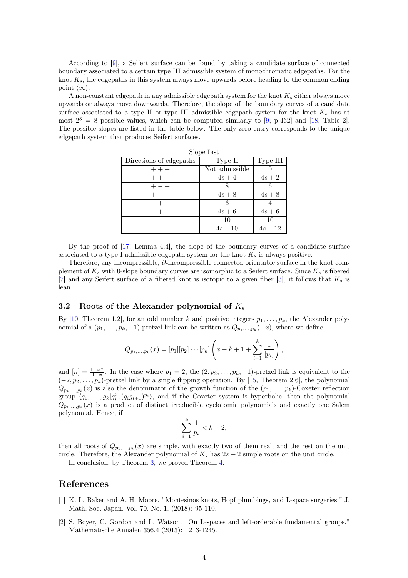According to [\[9\]](#page-4-9), a Seifert surface can be found by taking a candidate surface of connected boundary associated to a certain type III admissible system of monochromatic edgepaths. For the knot  $K_s$ , the edgepaths in this system always move upwards before heading to the common ending point  $\langle \infty \rangle$ .

A non-constant edgepath in any admissible edgepath system for the knot  $K_s$  either always move upwards or always move downwards. Therefore, the slope of the boundary curves of a candidate surface associated to a type II or type III admissible edgepath system for the knot  $K_s$  has at most  $2^3 = 8$  possible values, which can be computed similarly to [\[9,](#page-4-9) p.462] and [\[18,](#page-4-10) Table 2]. The possible slopes are listed in the table below. The only zero entry corresponds to the unique edgepath system that produces Seifert surfaces.

| Slope List              |                |           |
|-------------------------|----------------|-----------|
| Directions of edgepaths | Type II        | Type III  |
| $++ +$                  | Not admissible |           |
|                         | $4s+4$         | $4s+2$    |
|                         |                | 6         |
|                         | $4s+8$         | $4s+8$    |
|                         | 6              |           |
|                         | $4s+6$         | $4s+6$    |
|                         | 10             | 10        |
|                         | $4s + 10$      | $4s + 12$ |

By the proof of [\[17,](#page-4-11) Lemma 4.4], the slope of the boundary curves of a candidate surface associated to a type I admissible edgepath system for the knot  $K_s$  is always positive.

Therefore, any incompressible, ∂-incompressible connected orientable surface in the knot complement of  $K_s$  with 0-slope boundary curves are isomorphic to a Seifert surface. Since  $K_s$  is fibered [\[7\]](#page-4-12) and any Seifert surface of a fibered knot is isotopic to a given fiber [\[3\]](#page-4-13), it follows that  $K_s$  is lean.

#### 3.2 Roots of the Alexander polynomial of  $K_s$

By [\[10,](#page-4-14) Theorem 1.2], for an odd number k and positive integers  $p_1, \ldots, p_k$ , the Alexander polynomial of a  $(p_1, \ldots, p_k, -1)$ -pretzel link can be written as  $Q_{p_1, \ldots, p_k}(-x)$ , where we define

$$
Q_{p_1,...,p_k}(x) = [p_1][p_2]\cdots[p_k]\left(x - k + 1 + \sum_{i=1}^k \frac{1}{[p_i]}\right),
$$

and  $[n] = \frac{1-x^n}{1-x}$  $\frac{1-x^2}{1-x}$ . In the case where  $p_1 = 2$ , the  $(2, p_2, \ldots, p_k, -1)$ -pretzel link is equivalent to the  $(-2, p_2, \ldots, p_k)$ -pretzel link by a single flipping operation. By [\[15,](#page-4-15) Theorem 2.6], the polynomial  $Q_{p_1,\,\ldots,p_k}(x)$  is also the denominator of the growth function of the  $(p_1,\ldots,p_k)$ -Coxeter reflection group  $\langle g_1, \ldots, g_k | g_i^2, (g_i g_{i+1})^{p_i} \rangle$ , and if the Coxeter system is hyperbolic, then the polynomial  $Q_{p_1,\dots,p_k}(x)$  is a product of distinct irreducible cyclotomic polynomials and exactly one Salem polynomial. Hence, if

$$
\sum_{i=1}^{k} \frac{1}{p_i} < k - 2,
$$

then all roots of  $Q_{p_1,\ldots,p_k}(x)$  are simple, with exactly two of them real, and the rest on the unit circle. Therefore, the Alexander polynomial of  $K_s$  has  $2s + 2$  simple roots on the unit circle.

In conclusion, by Theorem [3,](#page-1-1) we proved Theorem [4.](#page-1-3)

## <span id="page-3-1"></span>References

- [1] K. L. Baker and A. H. Moore. "Montesinos knots, Hopf plumbings, and L-space surgeries." J. Math. Soc. Japan. Vol. 70. No. 1. (2018): 95-110.
- <span id="page-3-0"></span>[2] S. Boyer, C. Gordon and L. Watson. "On L-spaces and left-orderable fundamental groups." Mathematische Annalen 356.4 (2013): 1213-1245.